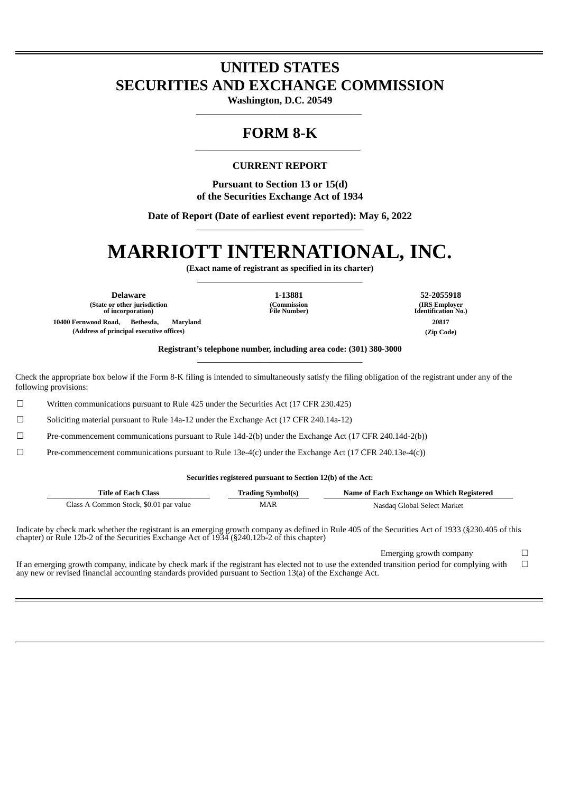# **UNITED STATES SECURITIES AND EXCHANGE COMMISSION**

**Washington, D.C. 20549** \_\_\_\_\_\_\_\_\_\_\_\_\_\_\_\_\_\_\_\_\_\_\_\_\_\_\_\_\_\_\_\_\_\_\_\_\_\_\_

## **FORM 8-K** \_\_\_\_\_\_\_\_\_\_\_\_\_\_\_\_\_\_\_\_\_\_\_\_\_\_\_\_\_\_\_\_\_\_\_\_\_\_\_

### **CURRENT REPORT**

**Pursuant to Section 13 or 15(d) of the Securities Exchange Act of 1934**

**Date of Report (Date of earliest event reported): May 6, 2022** \_\_\_\_\_\_\_\_\_\_\_\_\_\_\_\_\_\_\_\_\_\_\_\_\_\_\_\_\_\_\_\_\_\_\_\_\_\_\_

# **MARRIOTT INTERNATIONAL, INC.**

**(Exact name of registrant as specified in its charter)** \_\_\_\_\_\_\_\_\_\_\_\_\_\_\_\_\_\_\_\_\_\_\_\_\_\_\_\_\_\_\_\_\_\_\_\_\_\_\_

**Delaware 1-13881 52-2055918 (State or other jurisdiction of incorporation) 10400 Fernwood Road, Bethesda, Maryland 20817 (Address of principal executive offices) (Zip Code)**

**(Commission File Number)**

**(IRS Employer Identification No.)**

**Registrant's telephone number, including area code: (301) 380-3000** \_\_\_\_\_\_\_\_\_\_\_\_\_\_\_\_\_\_\_\_\_\_\_\_\_\_\_\_\_\_\_\_\_\_\_\_\_\_\_

Check the appropriate box below if the Form 8-K filing is intended to simultaneously satisfy the filing obligation of the registrant under any of the following provisions:

☐ Written communications pursuant to Rule 425 under the Securities Act (17 CFR 230.425)

 $\Box$  Soliciting material pursuant to Rule 14a-12 under the Exchange Act (17 CFR 240.14a-12)

☐ Pre-commencement communications pursuant to Rule 14d-2(b) under the Exchange Act (17 CFR 240.14d-2(b))

 $\square$  Pre-commencement communications pursuant to Rule 13e-4(c) under the Exchange Act (17 CFR 240.13e-4(c))

#### **Securities registered pursuant to Section 12(b) of the Act:**

| Title of Each Class                    | <b>Trading Symbol(s)</b> | Name of Each Exchange on Which Registered |
|----------------------------------------|--------------------------|-------------------------------------------|
| Class A Common Stock, \$0.01 par value | MAR                      | Nasdag Global Select Market               |

Indicate by check mark whether the registrant is an emerging growth company as defined in Rule 405 of the Securities Act of 1933 (§230.405 of this chapter) or Rule 12b-2 of the Securities Exchange Act of 1934 (§240.12b-2 of this chapter)

If an emerging growth company, indicate by check mark if the registrant has elected not to use the extended transition period for complying with any new or revised financial accounting standards provided pursuant to Section 13(a) of the Exchange Act.

Emerging growth company  $\Box$  $\Box$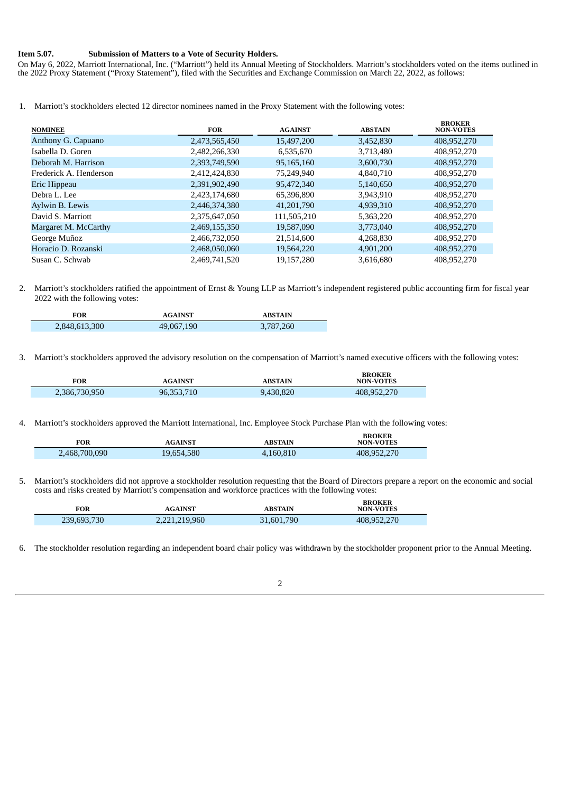#### **Item 5.07. Submission of Matters to a Vote of Security Holders.**

On May 6, 2022, Marriott International, Inc. ("Marriott") held its Annual Meeting of Stockholders. Marriott's stockholders voted on the items outlined in the 2022 Proxy Statement ("Proxy Statement"), filed with the Securities and Exchange Commission on March 22, 2022, as follows:

1. Marriott's stockholders elected 12 director nominees named in the Proxy Statement with the following votes:

| <b>NOMINEE</b>         | <b>FOR</b>    | <b>AGAINST</b> | <b>ABSTAIN</b> | <b>BROKER</b><br><b>NON-VOTES</b> |
|------------------------|---------------|----------------|----------------|-----------------------------------|
| Anthony G. Capuano     | 2,473,565,450 | 15,497,200     | 3,452,830      | 408,952,270                       |
| Isabella D. Goren      | 2,482,266,330 | 6,535,670      | 3,713,480      | 408,952,270                       |
| Deborah M. Harrison    | 2,393,749,590 | 95,165,160     | 3,600,730      | 408,952,270                       |
| Frederick A. Henderson | 2,412,424,830 | 75,249,940     | 4,840,710      | 408,952,270                       |
| Eric Hippeau           | 2,391,902,490 | 95,472,340     | 5,140,650      | 408,952,270                       |
| Debra L. Lee           | 2,423,174,680 | 65,396,890     | 3,943,910      | 408,952,270                       |
| Aylwin B. Lewis        | 2,446,374,380 | 41,201,790     | 4,939,310      | 408,952,270                       |
| David S. Marriott      | 2,375,647,050 | 111,505,210    | 5,363,220      | 408,952,270                       |
| Margaret M. McCarthy   | 2,469,155,350 | 19,587,090     | 3,773,040      | 408,952,270                       |
| George Muñoz           | 2,466,732,050 | 21,514,600     | 4,268,830      | 408,952,270                       |
| Horacio D. Rozanski    | 2,468,050,060 | 19,564,220     | 4,901,200      | 408,952,270                       |
| Susan C. Schwab        | 2,469,741,520 | 19,157,280     | 3,616,680      | 408,952,270                       |

2. Marriott's stockholders ratified the appointment of Ernst & Young LLP as Marriott's independent registered public accounting firm for fiscal year 2022 with the following votes:

| FOR           | <b>AGAINST</b> | <b>ABSTAIN</b> |
|---------------|----------------|----------------|
| 2,848,613,300 | 49,067,190     | 3,787,260      |

3. Marriott's stockholders approved the advisory resolution on the compensation of Marriott's named executive officers with the following votes:

| <b>FOR</b>    | <b>AGAINST</b> | ABSTAIN   | <b>BROKER</b><br><b>NON-VOTES</b> |
|---------------|----------------|-----------|-----------------------------------|
| 2,386,730,950 | 96,353,710     | 9,430,820 | 408,952,270                       |

4. Marriott's stockholders approved the Marriott International, Inc. Employee Stock Purchase Plan with the following votes:

| FOR           | <b>AGAINST</b> | ABSTAIN   | <b>BROKER</b><br><b>NON-VOTES</b> |
|---------------|----------------|-----------|-----------------------------------|
| 2,468,700,090 | 19,654,580     | 4,160,810 | 408,952,270                       |

5. Marriott's stockholders did not approve a stockholder resolution requesting that the Board of Directors prepare a report on the economic and social costs and risks created by Marriott's compensation and workforce practices with the following votes:

| <b>FOR</b>  | <b>AGAINST</b> | <b>ABSTAIN</b> | <b>BROKER</b><br><b>NON-VOTES</b> |
|-------------|----------------|----------------|-----------------------------------|
| 239,693,730 | 2,221,219,960  | 31,601,790     | 408,952,270                       |

6. The stockholder resolution regarding an independent board chair policy was withdrawn by the stockholder proponent prior to the Annual Meeting.